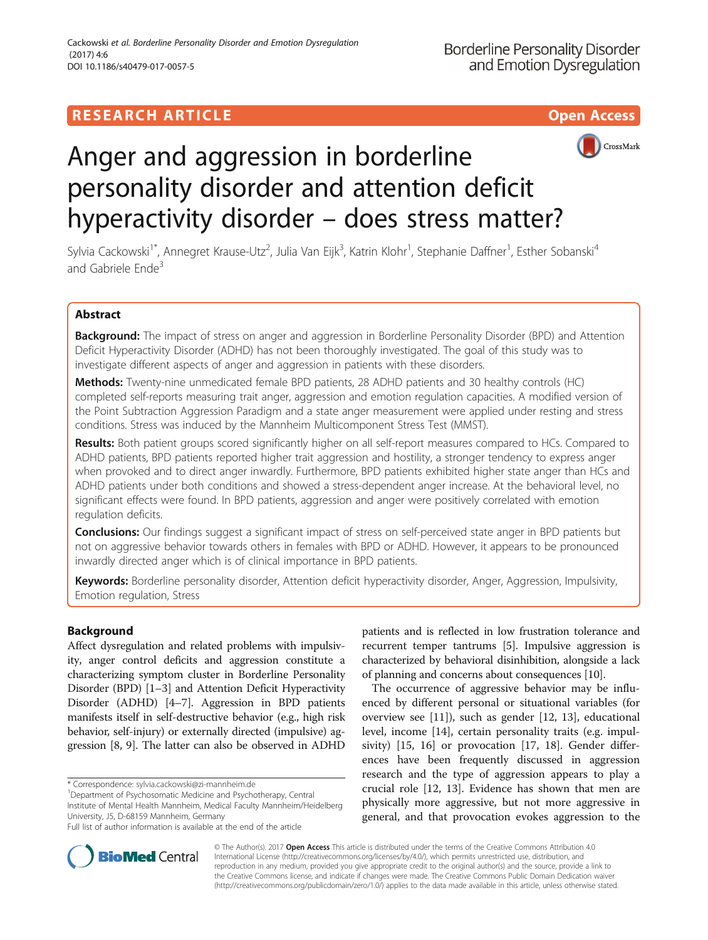# **RESEARCH ARTICLE Example 2018 12:30 THE OPEN ACCESS**





# Anger and aggression in borderline personality disorder and attention deficit hyperactivity disorder – does stress matter?

Sylvia Cackowski<sup>1\*</sup>, Annegret Krause-Utz<sup>2</sup>, Julia Van Eijk<sup>3</sup>, Katrin Klohr<sup>1</sup>, Stephanie Daffner<sup>1</sup>, Esther Sobanski<sup>4</sup> and Gabriele Ende<sup>3</sup>

# Abstract

Background: The impact of stress on anger and aggression in Borderline Personality Disorder (BPD) and Attention Deficit Hyperactivity Disorder (ADHD) has not been thoroughly investigated. The goal of this study was to investigate different aspects of anger and aggression in patients with these disorders.

Methods: Twenty-nine unmedicated female BPD patients, 28 ADHD patients and 30 healthy controls (HC) completed self-reports measuring trait anger, aggression and emotion regulation capacities. A modified version of the Point Subtraction Aggression Paradigm and a state anger measurement were applied under resting and stress conditions. Stress was induced by the Mannheim Multicomponent Stress Test (MMST).

Results: Both patient groups scored significantly higher on all self-report measures compared to HCs. Compared to ADHD patients, BPD patients reported higher trait aggression and hostility, a stronger tendency to express anger when provoked and to direct anger inwardly. Furthermore, BPD patients exhibited higher state anger than HCs and ADHD patients under both conditions and showed a stress-dependent anger increase. At the behavioral level, no significant effects were found. In BPD patients, aggression and anger were positively correlated with emotion regulation deficits.

Conclusions: Our findings suggest a significant impact of stress on self-perceived state anger in BPD patients but not on aggressive behavior towards others in females with BPD or ADHD. However, it appears to be pronounced inwardly directed anger which is of clinical importance in BPD patients.

Keywords: Borderline personality disorder, Attention deficit hyperactivity disorder, Anger, Aggression, Impulsivity, Emotion regulation, Stress

## Background

Affect dysregulation and related problems with impulsivity, anger control deficits and aggression constitute a characterizing symptom cluster in Borderline Personality Disorder (BPD) [[1](#page-10-0)–[3](#page-10-0)] and Attention Deficit Hyperactivity Disorder (ADHD) [\[4](#page-10-0)–[7\]](#page-10-0). Aggression in BPD patients manifests itself in self-destructive behavior (e.g., high risk behavior, self-injury) or externally directed (impulsive) aggression [[8, 9](#page-10-0)]. The latter can also be observed in ADHD

\* Correspondence: [sylvia.cackowski@zi-mannheim.de](mailto:sylvia.cackowski@zi-mannheim.de) <sup>1</sup>

<sup>1</sup>Department of Psychosomatic Medicine and Psychotherapy, Central Institute of Mental Health Mannheim, Medical Faculty Mannheim/Heidelberg University, J5, D-68159 Mannheim, Germany Full list of author information is available at the end of the article

patients and is reflected in low frustration tolerance and recurrent temper tantrums [\[5\]](#page-10-0). Impulsive aggression is characterized by behavioral disinhibition, alongside a lack of planning and concerns about consequences [[10](#page-10-0)].

The occurrence of aggressive behavior may be influenced by different personal or situational variables (for overview see [[11](#page-10-0)]), such as gender [[12, 13](#page-10-0)], educational level, income [\[14](#page-10-0)], certain personality traits (e.g. impulsivity) [[15, 16](#page-10-0)] or provocation [[17, 18](#page-10-0)]. Gender differences have been frequently discussed in aggression research and the type of aggression appears to play a crucial role [\[12](#page-10-0), [13](#page-10-0)]. Evidence has shown that men are physically more aggressive, but not more aggressive in general, and that provocation evokes aggression to the



© The Author(s). 2017 **Open Access** This article is distributed under the terms of the Creative Commons Attribution 4.0 International License [\(http://creativecommons.org/licenses/by/4.0/](http://creativecommons.org/licenses/by/4.0/)), which permits unrestricted use, distribution, and reproduction in any medium, provided you give appropriate credit to the original author(s) and the source, provide a link to the Creative Commons license, and indicate if changes were made. The Creative Commons Public Domain Dedication waiver [\(http://creativecommons.org/publicdomain/zero/1.0/](http://creativecommons.org/publicdomain/zero/1.0/)) applies to the data made available in this article, unless otherwise stated.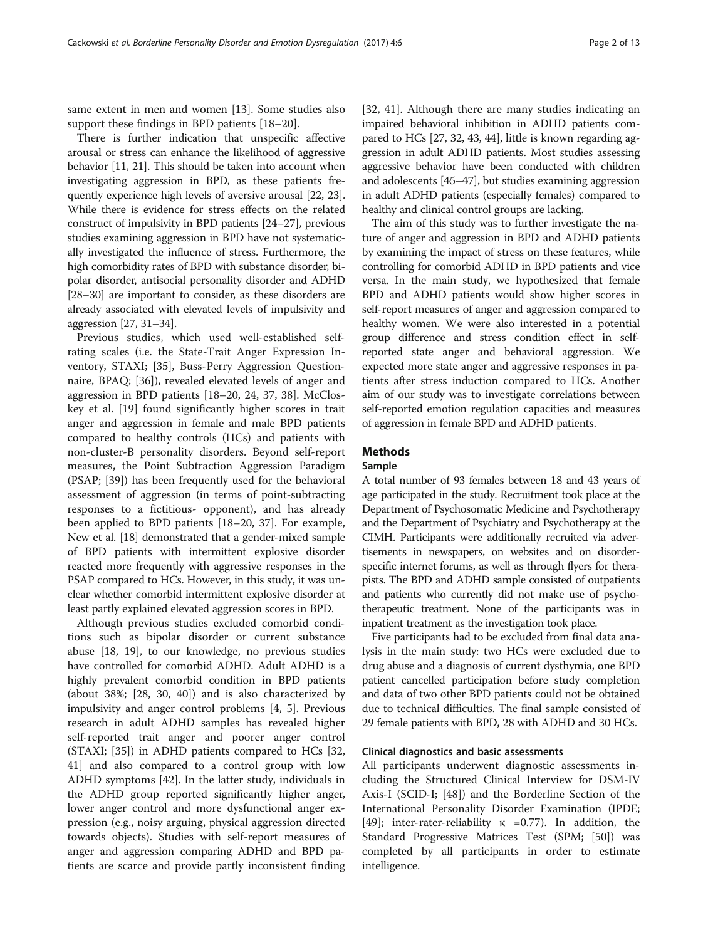same extent in men and women [\[13\]](#page-10-0). Some studies also support these findings in BPD patients [\[18](#page-10-0)–[20\]](#page-10-0).

There is further indication that unspecific affective arousal or stress can enhance the likelihood of aggressive behavior [[11](#page-10-0), [21\]](#page-10-0). This should be taken into account when investigating aggression in BPD, as these patients frequently experience high levels of aversive arousal [[22, 23](#page-10-0)]. While there is evidence for stress effects on the related construct of impulsivity in BPD patients [\[24](#page-10-0)–[27\]](#page-10-0), previous studies examining aggression in BPD have not systematically investigated the influence of stress. Furthermore, the high comorbidity rates of BPD with substance disorder, bipolar disorder, antisocial personality disorder and ADHD [[28](#page-10-0)–[30\]](#page-10-0) are important to consider, as these disorders are already associated with elevated levels of impulsivity and aggression [\[27, 31](#page-10-0)–[34](#page-10-0)].

Previous studies, which used well-established selfrating scales (i.e. the State-Trait Anger Expression Inventory, STAXI; [[35\]](#page-10-0), Buss-Perry Aggression Questionnaire, BPAQ; [[36\]](#page-10-0)), revealed elevated levels of anger and aggression in BPD patients [[18](#page-10-0)–[20](#page-10-0), [24, 37](#page-10-0), [38\]](#page-10-0). McCloskey et al. [\[19\]](#page-10-0) found significantly higher scores in trait anger and aggression in female and male BPD patients compared to healthy controls (HCs) and patients with non-cluster-B personality disorders. Beyond self-report measures, the Point Subtraction Aggression Paradigm (PSAP; [[39](#page-11-0)]) has been frequently used for the behavioral assessment of aggression (in terms of point-subtracting responses to a fictitious- opponent), and has already been applied to BPD patients [\[18](#page-10-0)–[20](#page-10-0), [37\]](#page-10-0). For example, New et al. [[18](#page-10-0)] demonstrated that a gender-mixed sample of BPD patients with intermittent explosive disorder reacted more frequently with aggressive responses in the PSAP compared to HCs. However, in this study, it was unclear whether comorbid intermittent explosive disorder at least partly explained elevated aggression scores in BPD.

Although previous studies excluded comorbid conditions such as bipolar disorder or current substance abuse [[18, 19](#page-10-0)], to our knowledge, no previous studies have controlled for comorbid ADHD. Adult ADHD is a highly prevalent comorbid condition in BPD patients (about 38%; [[28, 30,](#page-10-0) [40](#page-11-0)]) and is also characterized by impulsivity and anger control problems [\[4, 5](#page-10-0)]. Previous research in adult ADHD samples has revealed higher self-reported trait anger and poorer anger control (STAXI; [[35\]](#page-10-0)) in ADHD patients compared to HCs [[32](#page-10-0), [41\]](#page-11-0) and also compared to a control group with low ADHD symptoms [[42\]](#page-11-0). In the latter study, individuals in the ADHD group reported significantly higher anger, lower anger control and more dysfunctional anger expression (e.g., noisy arguing, physical aggression directed towards objects). Studies with self-report measures of anger and aggression comparing ADHD and BPD patients are scarce and provide partly inconsistent finding

[[32,](#page-10-0) [41\]](#page-11-0). Although there are many studies indicating an impaired behavioral inhibition in ADHD patients compared to HCs [[27](#page-10-0), [32,](#page-10-0) [43](#page-11-0), [44\]](#page-11-0), little is known regarding aggression in adult ADHD patients. Most studies assessing aggressive behavior have been conducted with children and adolescents [[45](#page-11-0)–[47\]](#page-11-0), but studies examining aggression in adult ADHD patients (especially females) compared to healthy and clinical control groups are lacking.

The aim of this study was to further investigate the nature of anger and aggression in BPD and ADHD patients by examining the impact of stress on these features, while controlling for comorbid ADHD in BPD patients and vice versa. In the main study, we hypothesized that female BPD and ADHD patients would show higher scores in self-report measures of anger and aggression compared to healthy women. We were also interested in a potential group difference and stress condition effect in selfreported state anger and behavioral aggression. We expected more state anger and aggressive responses in patients after stress induction compared to HCs. Another aim of our study was to investigate correlations between self-reported emotion regulation capacities and measures of aggression in female BPD and ADHD patients.

#### Methods

#### Sample

A total number of 93 females between 18 and 43 years of age participated in the study. Recruitment took place at the Department of Psychosomatic Medicine and Psychotherapy and the Department of Psychiatry and Psychotherapy at the CIMH. Participants were additionally recruited via advertisements in newspapers, on websites and on disorderspecific internet forums, as well as through flyers for therapists. The BPD and ADHD sample consisted of outpatients and patients who currently did not make use of psychotherapeutic treatment. None of the participants was in inpatient treatment as the investigation took place.

Five participants had to be excluded from final data analysis in the main study: two HCs were excluded due to drug abuse and a diagnosis of current dysthymia, one BPD patient cancelled participation before study completion and data of two other BPD patients could not be obtained due to technical difficulties. The final sample consisted of 29 female patients with BPD, 28 with ADHD and 30 HCs.

#### Clinical diagnostics and basic assessments

All participants underwent diagnostic assessments including the Structured Clinical Interview for DSM-IV Axis-I (SCID-I; [[48](#page-11-0)]) and the Borderline Section of the International Personality Disorder Examination (IPDE; [[49\]](#page-11-0); inter-rater-reliability  $\kappa = 0.77$ ). In addition, the Standard Progressive Matrices Test (SPM; [[50\]](#page-11-0)) was completed by all participants in order to estimate intelligence.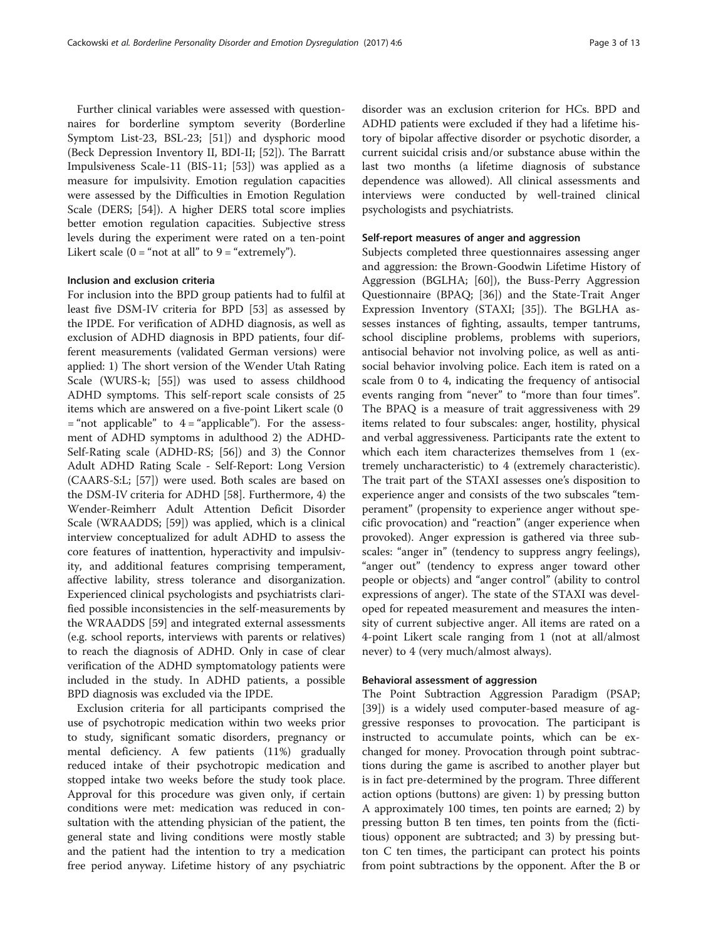Further clinical variables were assessed with questionnaires for borderline symptom severity (Borderline Symptom List-23, BSL-23; [[51\]](#page-11-0)) and dysphoric mood (Beck Depression Inventory II, BDI-II; [\[52\]](#page-11-0)). The Barratt Impulsiveness Scale-11 (BIS-11; [\[53](#page-11-0)]) was applied as a measure for impulsivity. Emotion regulation capacities were assessed by the Difficulties in Emotion Regulation Scale (DERS; [[54\]](#page-11-0)). A higher DERS total score implies better emotion regulation capacities. Subjective stress levels during the experiment were rated on a ten-point Likert scale  $(0 = "not at all" to 9 = "extremely").$ 

#### Inclusion and exclusion criteria

For inclusion into the BPD group patients had to fulfil at least five DSM-IV criteria for BPD [[53](#page-11-0)] as assessed by the IPDE. For verification of ADHD diagnosis, as well as exclusion of ADHD diagnosis in BPD patients, four different measurements (validated German versions) were applied: 1) The short version of the Wender Utah Rating Scale (WURS-k; [[55\]](#page-11-0)) was used to assess childhood ADHD symptoms. This self-report scale consists of 25 items which are answered on a five-point Likert scale (0  $=$  "not applicable" to  $4 =$  "applicable"). For the assessment of ADHD symptoms in adulthood 2) the ADHD-Self-Rating scale (ADHD-RS; [[56](#page-11-0)]) and 3) the Connor Adult ADHD Rating Scale - Self-Report: Long Version (CAARS-S:L; [\[57](#page-11-0)]) were used. Both scales are based on the DSM-IV criteria for ADHD [\[58](#page-11-0)]. Furthermore, 4) the Wender-Reimherr Adult Attention Deficit Disorder Scale (WRAADDS; [[59](#page-11-0)]) was applied, which is a clinical interview conceptualized for adult ADHD to assess the core features of inattention, hyperactivity and impulsivity, and additional features comprising temperament, affective lability, stress tolerance and disorganization. Experienced clinical psychologists and psychiatrists clarified possible inconsistencies in the self-measurements by the WRAADDS [[59\]](#page-11-0) and integrated external assessments (e.g. school reports, interviews with parents or relatives) to reach the diagnosis of ADHD. Only in case of clear verification of the ADHD symptomatology patients were included in the study. In ADHD patients, a possible BPD diagnosis was excluded via the IPDE.

Exclusion criteria for all participants comprised the use of psychotropic medication within two weeks prior to study, significant somatic disorders, pregnancy or mental deficiency. A few patients (11%) gradually reduced intake of their psychotropic medication and stopped intake two weeks before the study took place. Approval for this procedure was given only, if certain conditions were met: medication was reduced in consultation with the attending physician of the patient, the general state and living conditions were mostly stable and the patient had the intention to try a medication free period anyway. Lifetime history of any psychiatric

disorder was an exclusion criterion for HCs. BPD and ADHD patients were excluded if they had a lifetime history of bipolar affective disorder or psychotic disorder, a current suicidal crisis and/or substance abuse within the last two months (a lifetime diagnosis of substance dependence was allowed). All clinical assessments and interviews were conducted by well-trained clinical psychologists and psychiatrists.

#### Self-report measures of anger and aggression

Subjects completed three questionnaires assessing anger and aggression: the Brown-Goodwin Lifetime History of Aggression (BGLHA; [\[60](#page-11-0)]), the Buss-Perry Aggression Questionnaire (BPAQ; [\[36](#page-10-0)]) and the State-Trait Anger Expression Inventory (STAXI; [[35\]](#page-10-0)). The BGLHA assesses instances of fighting, assaults, temper tantrums, school discipline problems, problems with superiors, antisocial behavior not involving police, as well as antisocial behavior involving police. Each item is rated on a scale from 0 to 4, indicating the frequency of antisocial events ranging from "never" to "more than four times". The BPAQ is a measure of trait aggressiveness with 29 items related to four subscales: anger, hostility, physical and verbal aggressiveness. Participants rate the extent to which each item characterizes themselves from 1 (extremely uncharacteristic) to 4 (extremely characteristic). The trait part of the STAXI assesses one's disposition to experience anger and consists of the two subscales "temperament" (propensity to experience anger without specific provocation) and "reaction" (anger experience when provoked). Anger expression is gathered via three subscales: "anger in" (tendency to suppress angry feelings), "anger out" (tendency to express anger toward other people or objects) and "anger control" (ability to control expressions of anger). The state of the STAXI was developed for repeated measurement and measures the intensity of current subjective anger. All items are rated on a 4-point Likert scale ranging from 1 (not at all/almost never) to 4 (very much/almost always).

#### Behavioral assessment of aggression

The Point Subtraction Aggression Paradigm (PSAP; [[39\]](#page-11-0)) is a widely used computer-based measure of aggressive responses to provocation. The participant is instructed to accumulate points, which can be exchanged for money. Provocation through point subtractions during the game is ascribed to another player but is in fact pre-determined by the program. Three different action options (buttons) are given: 1) by pressing button A approximately 100 times, ten points are earned; 2) by pressing button B ten times, ten points from the (fictitious) opponent are subtracted; and 3) by pressing button C ten times, the participant can protect his points from point subtractions by the opponent. After the B or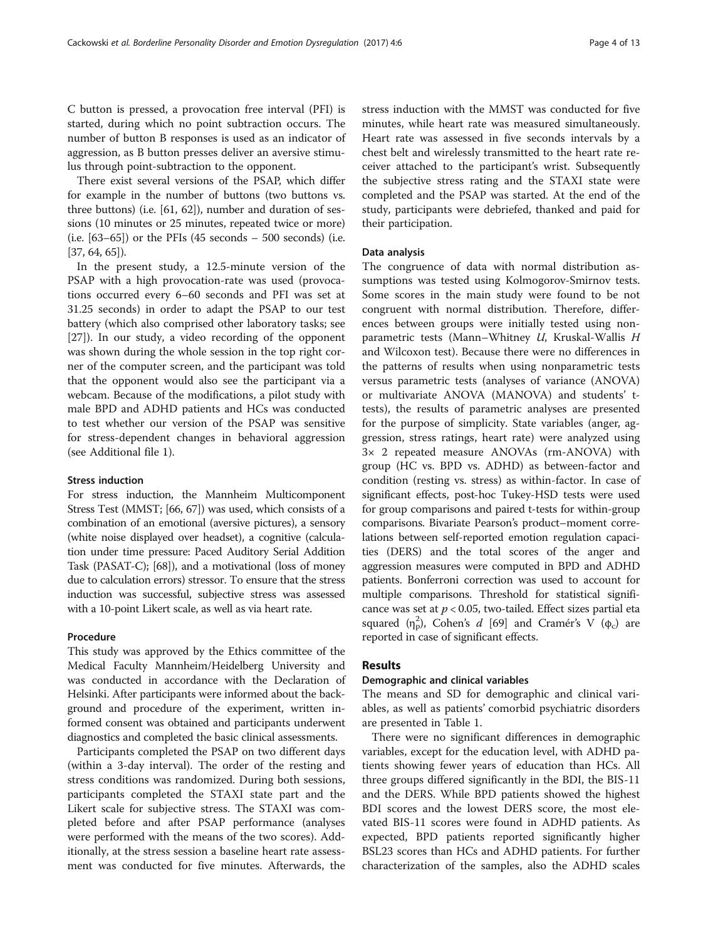C button is pressed, a provocation free interval (PFI) is started, during which no point subtraction occurs. The number of button B responses is used as an indicator of aggression, as B button presses deliver an aversive stimulus through point-subtraction to the opponent.

There exist several versions of the PSAP, which differ for example in the number of buttons (two buttons vs. three buttons) (i.e. [[61](#page-11-0), [62](#page-11-0)]), number and duration of sessions (10 minutes or 25 minutes, repeated twice or more) (i.e.  $[63-65]$  $[63-65]$  $[63-65]$  $[63-65]$ ) or the PFIs (45 seconds – 500 seconds) (i.e. [[37](#page-10-0), [64, 65](#page-11-0)]).

In the present study, a 12.5-minute version of the PSAP with a high provocation-rate was used (provocations occurred every 6–60 seconds and PFI was set at 31.25 seconds) in order to adapt the PSAP to our test battery (which also comprised other laboratory tasks; see [[27\]](#page-10-0)). In our study, a video recording of the opponent was shown during the whole session in the top right corner of the computer screen, and the participant was told that the opponent would also see the participant via a webcam. Because of the modifications, a pilot study with male BPD and ADHD patients and HCs was conducted to test whether our version of the PSAP was sensitive for stress-dependent changes in behavioral aggression (see Additional file [1\)](#page-9-0).

#### Stress induction

For stress induction, the Mannheim Multicomponent Stress Test (MMST; [\[66, 67](#page-11-0)]) was used, which consists of a combination of an emotional (aversive pictures), a sensory (white noise displayed over headset), a cognitive (calculation under time pressure: Paced Auditory Serial Addition Task (PASAT-C); [[68](#page-11-0)]), and a motivational (loss of money due to calculation errors) stressor. To ensure that the stress induction was successful, subjective stress was assessed with a 10-point Likert scale, as well as via heart rate.

### Procedure

This study was approved by the Ethics committee of the Medical Faculty Mannheim/Heidelberg University and was conducted in accordance with the Declaration of Helsinki. After participants were informed about the background and procedure of the experiment, written informed consent was obtained and participants underwent diagnostics and completed the basic clinical assessments.

Participants completed the PSAP on two different days (within a 3-day interval). The order of the resting and stress conditions was randomized. During both sessions, participants completed the STAXI state part and the Likert scale for subjective stress. The STAXI was completed before and after PSAP performance (analyses were performed with the means of the two scores). Additionally, at the stress session a baseline heart rate assessment was conducted for five minutes. Afterwards, the stress induction with the MMST was conducted for five minutes, while heart rate was measured simultaneously. Heart rate was assessed in five seconds intervals by a chest belt and wirelessly transmitted to the heart rate receiver attached to the participant's wrist. Subsequently the subjective stress rating and the STAXI state were completed and the PSAP was started. At the end of the study, participants were debriefed, thanked and paid for their participation.

#### Data analysis

The congruence of data with normal distribution assumptions was tested using Kolmogorov-Smirnov tests. Some scores in the main study were found to be not congruent with normal distribution. Therefore, differences between groups were initially tested using nonparametric tests (Mann–Whitney  $U$ , Kruskal-Wallis  $H$ and Wilcoxon test). Because there were no differences in the patterns of results when using nonparametric tests versus parametric tests (analyses of variance (ANOVA) or multivariate ANOVA (MANOVA) and students' ttests), the results of parametric analyses are presented for the purpose of simplicity. State variables (anger, aggression, stress ratings, heart rate) were analyzed using 3× 2 repeated measure ANOVAs (rm-ANOVA) with group (HC vs. BPD vs. ADHD) as between-factor and condition (resting vs. stress) as within-factor. In case of significant effects, post-hoc Tukey-HSD tests were used for group comparisons and paired t-tests for within-group comparisons. Bivariate Pearson's product–moment correlations between self-reported emotion regulation capacities (DERS) and the total scores of the anger and aggression measures were computed in BPD and ADHD patients. Bonferroni correction was used to account for multiple comparisons. Threshold for statistical significance was set at  $p < 0.05$ , two-tailed. Effect sizes partial eta squared  $(\eta_P^2)$ , Cohen's d [[69](#page-11-0)] and Cramér's V ( $\phi_c$ ) are reported in case of significant effects.

#### Results

#### Demographic and clinical variables

The means and SD for demographic and clinical variables, as well as patients' comorbid psychiatric disorders are presented in Table [1.](#page-4-0)

There were no significant differences in demographic variables, except for the education level, with ADHD patients showing fewer years of education than HCs. All three groups differed significantly in the BDI, the BIS-11 and the DERS. While BPD patients showed the highest BDI scores and the lowest DERS score, the most elevated BIS-11 scores were found in ADHD patients. As expected, BPD patients reported significantly higher BSL23 scores than HCs and ADHD patients. For further characterization of the samples, also the ADHD scales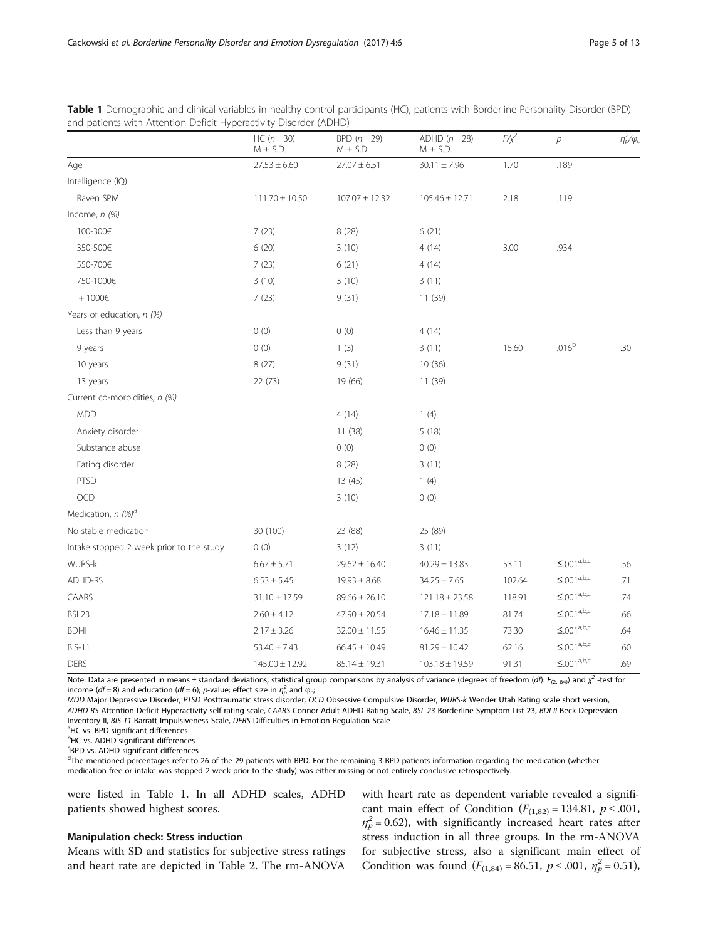|                                          | $HC (n = 30)$<br>$M \pm S.D.$ | $BPD(n=29)$<br>$M \pm S.D.$ | $ADHD$ ( $n=28$ )<br>$M \pm S.D.$ | $F/\chi^2$ | $\overline{p}$            | $\eta_{p}^{2}/\varphi_{c}$ |
|------------------------------------------|-------------------------------|-----------------------------|-----------------------------------|------------|---------------------------|----------------------------|
| Age                                      | $27.53 \pm 6.60$              | $27.07 \pm 6.51$            | $30.11 \pm 7.96$                  | 1.70       | .189                      |                            |
| Intelligence (IQ)                        |                               |                             |                                   |            |                           |                            |
| Raven SPM                                | $111.70 \pm 10.50$            | $107.07 \pm 12.32$          | $105.46 \pm 12.71$                | 2.18       | .119                      |                            |
| Income, $n$ (%)                          |                               |                             |                                   |            |                           |                            |
| 100-300€                                 | 7(23)                         | 8 (28)                      | 6(21)                             |            |                           |                            |
| 350-500€                                 | 6(20)                         | 3(10)                       | 4(14)                             | 3.00       | .934                      |                            |
| 550-700€                                 | 7(23)                         | 6(21)                       | 4(14)                             |            |                           |                            |
| 750-1000€                                | 3(10)                         | 3(10)                       | 3(11)                             |            |                           |                            |
| $+10006$                                 | 7(23)                         | 9(31)                       | 11 (39)                           |            |                           |                            |
| Years of education, n (%)                |                               |                             |                                   |            |                           |                            |
| Less than 9 years                        | 0(0)                          | 0(0)                        | 4(14)                             |            |                           |                            |
| 9 years                                  | 0(0)                          | 1(3)                        | 3(11)                             | 15.60      | $.016^{b}$                | .30                        |
| 10 years                                 | 8(27)                         | 9(31)                       | 10(36)                            |            |                           |                            |
| 13 years                                 | 22 (73)                       | 19 (66)                     | 11 (39)                           |            |                           |                            |
| Current co-morbidities, n (%)            |                               |                             |                                   |            |                           |                            |
| <b>MDD</b>                               |                               | 4(14)                       | 1(4)                              |            |                           |                            |
| Anxiety disorder                         |                               | 11(38)                      | 5(18)                             |            |                           |                            |
| Substance abuse                          |                               | 0(0)                        | 0(0)                              |            |                           |                            |
| Eating disorder                          |                               | 8 (28)                      | 3(11)                             |            |                           |                            |
| PTSD                                     |                               | 13 (45)                     | 1(4)                              |            |                           |                            |
| <b>OCD</b>                               |                               | 3(10)                       | 0(0)                              |            |                           |                            |
| Medication, $n$ (%) <sup>d</sup>         |                               |                             |                                   |            |                           |                            |
| No stable medication                     | 30 (100)                      | 23 (88)                     | 25 (89)                           |            |                           |                            |
| Intake stopped 2 week prior to the study | 0(0)                          | 3(12)                       | 3(11)                             |            |                           |                            |
| WURS-k                                   | $6.67 \pm 5.71$               | $29.62 \pm 16.40$           | $40.29 \pm 13.83$                 | 53.11      | ≤.001 <sup>a,b,c</sup>    | .56                        |
| ADHD-RS                                  | $6.53 \pm 5.45$               | $19.93 \pm 8.68$            | $34.25 \pm 7.65$                  | 102.64     | $\leq$ 001a,b,c           | .71                        |
| CAARS                                    | $31.10 \pm 17.59$             | $89.66 \pm 26.10$           | $121.18 \pm 23.58$                | 118.91     | ≤.001 <sup>a,b,c</sup>    | .74                        |
| BSL23                                    | $2.60 \pm 4.12$               | $47.90 \pm 20.54$           | $17.18 \pm 11.89$                 | 81.74      | ≤.001 <sup>a,b,c</sup>    | .66                        |
| <b>BDI-II</b>                            | $2.17 \pm 3.26$               | $32.00 \pm 11.55$           | $16.46 \pm 11.35$                 | 73.30      | $\leq$ 001a,b,c           | .64                        |
| <b>BIS-11</b>                            | $53.40 \pm 7.43$              | $66.45 \pm 10.49$           | $81.29 \pm 10.42$                 | 62.16      | ≤.001 <sup>a,b,c</sup>    | .60                        |
| <b>DERS</b>                              | $145.00 \pm 12.92$            | $85.14 \pm 19.31$           | $103.18 \pm 19.59$                | 91.31      | $\leq$ 001 $^{\rm a,b,c}$ | .69                        |

<span id="page-4-0"></span>Table 1 Demographic and clinical variables in healthy control participants (HC), patients with Borderline Personality Disorder (BPD) and patients with Attention Deficit Hyperactivity Disorder (ADHD)

Note: Data are presented in means ± standard deviations, statistical group comparisons by analysis of variance (degrees of freedom (df):  $F_{(2, 84)}$  and  $\chi^2$  -test for income (df = 8) and education (df = 6); p-value; effect size in  $\eta_p^2$  and  $\bar{\phi}_{c}$ ;

MDD Major Depressive Disorder, PTSD Posttraumatic stress disorder, OCD Obsessive Compulsive Disorder, WURS-k Wender Utah Rating scale short version, ADHD-RS Attention Deficit Hyperactivity self-rating scale, CAARS Connor Adult ADHD Rating Scale, BSL-23 Borderline Symptom List-23, BDI-II Beck Depression Inventory II, BIS-11 Barratt Impulsiveness Scale, DERS Difficulties in Emotion Regulation Scale

<sup>a</sup>HC vs. BPD significant differences

<sup>b</sup>HC vs. ADHD significant differences

c BPD vs. ADHD significant differences

<sup>d</sup>The mentioned percentages refer to 26 of the 29 patients with BPD. For the remaining 3 BPD patients information regarding the medication (whether medication-free or intake was stopped 2 week prior to the study) was either missing or not entirely conclusive retrospectively.

were listed in Table 1. In all ADHD scales, ADHD patients showed highest scores.

#### Manipulation check: Stress induction

Means with SD and statistics for subjective stress ratings and heart rate are depicted in Table [2.](#page-5-0) The rm-ANOVA with heart rate as dependent variable revealed a significant main effect of Condition  $(F_{(1,82)} = 134.81, p \le .001,$  $\eta_p^2$  = 0.62), with significantly increased heart rates after stress induction in all three groups. In the rm-ANOVA for subjective stress, also a significant main effect of Condition was found  $(F_{(1,84)} = 86.51, p \le .001, \eta_p^2 = 0.51)$ ,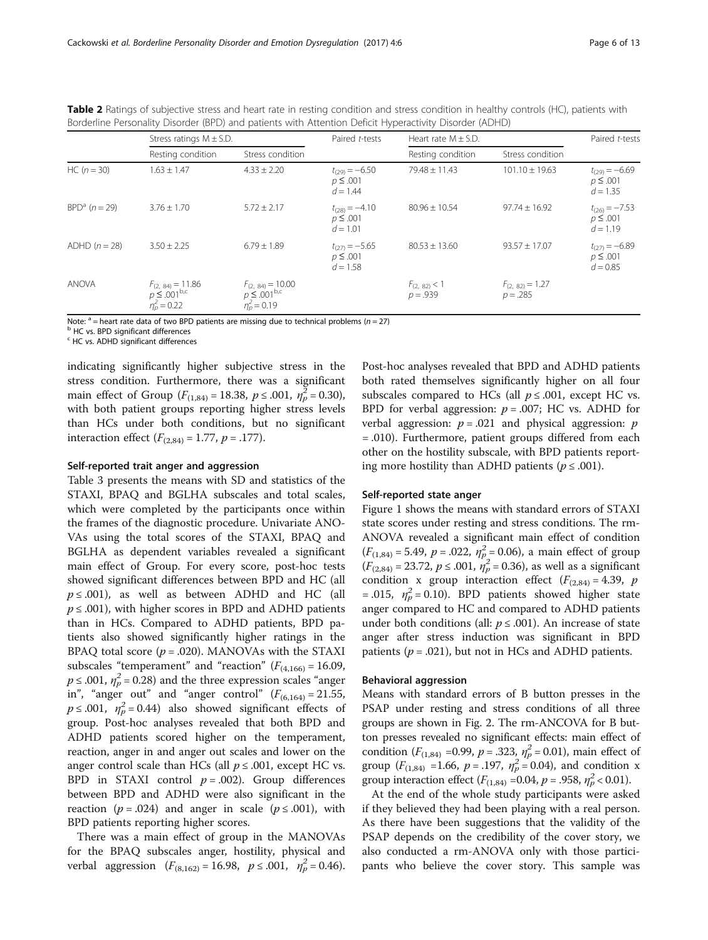|                 | Stress ratings $M \pm S.D.$                                           |                                                                        | Paired t-tests                                    | Heart rate $M \pm S.D.$         |                                    | Paired t-tests                                    |  |
|-----------------|-----------------------------------------------------------------------|------------------------------------------------------------------------|---------------------------------------------------|---------------------------------|------------------------------------|---------------------------------------------------|--|
|                 | Resting condition                                                     | Stress condition                                                       |                                                   | Resting condition               | Stress condition                   |                                                   |  |
| $HC (n = 30)$   | $1.63 \pm 1.47$                                                       | $4.33 \pm 2.20$                                                        | $t_{(29)} = -6.50$<br>$p \leq .001$<br>$d = 1.44$ | $79.48 \pm 11.43$               | $101.10 \pm 19.63$                 | $t_{(29)} = -6.69$<br>$p \leq .001$<br>$d = 1.35$ |  |
| $BPDa$ (n = 29) | $3.76 \pm 1.70$                                                       | $5.72 \pm 2.17$                                                        | $t_{(28)} = -4.10$<br>$p \leq .001$<br>$d = 1.01$ | $80.96 \pm 10.54$               | $97.74 \pm 16.92$                  | $t_{(26)} = -7.53$<br>$p \leq .001$<br>$d = 1.19$ |  |
| $ADHD (n = 28)$ | $3.50 \pm 2.25$                                                       | $6.79 + 1.89$                                                          | $t_{(27)} = -5.65$<br>$p \leq .001$<br>$d = 1.58$ | $80.53 \pm 13.60$               | $93.57 \pm 17.07$                  | $t_{(27)} = -6.89$<br>$p \leq .001$<br>$d = 0.85$ |  |
| <b>ANOVA</b>    | $F_{(2, 84)} = 11.86$<br>$p \leq .001^{b,c}$<br>$\eta_{p}^{2} = 0.22$ | $F_{(2, 84)} = 10.00$<br>$p \le .001^{b,c}$<br>$\eta_{\rm p}^2 = 0.19$ |                                                   | $F_{(2, 82)} < 1$<br>$p = .939$ | $F_{(2, 82)} = 1.27$<br>$p = .285$ |                                                   |  |

<span id="page-5-0"></span>Table 2 Ratings of subjective stress and heart rate in resting condition and stress condition in healthy controls (HC), patients with Borderline Personality Disorder (BPD) and patients with Attention Deficit Hyperactivity Disorder (ADHD)

Note:  $a =$  heart rate data of two BPD patients are missing due to technical problems (n = 27) b HC vs. BPD significant differences

<sup>c</sup> HC vs. ADHD significant differences

indicating significantly higher subjective stress in the stress condition. Furthermore, there was a significant main effect of Group ( $F_{(1,84)} = 18.38, p \le .001, \eta_p^2 = 0.30$ ), with both patient groups reporting higher stress levels than HCs under both conditions, but no significant interaction effect  $(F_{(2,84)} = 1.77, p = .177)$ .

#### Self-reported trait anger and aggression

Table [3](#page-6-0) presents the means with SD and statistics of the STAXI, BPAQ and BGLHA subscales and total scales, which were completed by the participants once within the frames of the diagnostic procedure. Univariate ANO-VAs using the total scores of the STAXI, BPAQ and BGLHA as dependent variables revealed a significant main effect of Group. For every score, post-hoc tests showed significant differences between BPD and HC (all  $p \leq .001$ ), as well as between ADHD and HC (all  $p \leq .001$ ), with higher scores in BPD and ADHD patients than in HCs. Compared to ADHD patients, BPD patients also showed significantly higher ratings in the BPAQ total score ( $p = .020$ ). MANOVAs with the STAXI subscales "temperament" and "reaction"  $(F_{(4,166)} = 16.09,$  $p \leq .001$ ,  $\eta_p^2 = 0.28$ ) and the three expression scales "anger" in", "anger out" and "anger control"  $(F_{(6,164)} = 21.55,$  $p \leq .001$ ,  $\eta_p^2 = 0.44$ ) also showed significant effects of group. Post-hoc analyses revealed that both BPD and ADHD patients scored higher on the temperament, reaction, anger in and anger out scales and lower on the anger control scale than HCs (all  $p \leq .001$ , except HC vs. BPD in STAXI control  $p = .002$ ). Group differences between BPD and ADHD were also significant in the reaction ( $p = .024$ ) and anger in scale ( $p \le .001$ ), with BPD patients reporting higher scores.

There was a main effect of group in the MANOVAs for the BPAQ subscales anger, hostility, physical and verbal aggression  $(F_{(8,162)} = 16.98, p \le .001, \eta_p^2 = 0.46)$ .

Post-hoc analyses revealed that BPD and ADHD patients both rated themselves significantly higher on all four subscales compared to HCs (all  $p \le 0.001$ , except HC vs. BPD for verbal aggression:  $p = .007$ ; HC vs. ADHD for verbal aggression:  $p = .021$  and physical aggression: p = .010). Furthermore, patient groups differed from each other on the hostility subscale, with BPD patients reporting more hostility than ADHD patients ( $p \leq .001$ ).

#### Self-reported state anger

Figure [1](#page-6-0) shows the means with standard errors of STAXI state scores under resting and stress conditions. The rm-ANOVA revealed a significant main effect of condition  $(F_{(1,84)} = 5.49, p = .022, \eta_p^2 = 0.06)$ , a main effect of group  $(F_{(2,84)} = 23.72, p \le .001, \eta_p^2 = 0.36)$ , as well as a significant condition x group interaction effect  $(F_{(2,84)} = 4.39, p)$ = .015,  $\eta_p^2$  = 0.10). BPD patients showed higher state anger compared to HC and compared to ADHD patients under both conditions (all:  $p \leq .001$ ). An increase of state anger after stress induction was significant in BPD patients ( $p = .021$ ), but not in HCs and ADHD patients.

#### Behavioral aggression

Means with standard errors of B button presses in the PSAP under resting and stress conditions of all three groups are shown in Fig. [2.](#page-6-0) The rm-ANCOVA for B button presses revealed no significant effects: main effect of condition ( $F_{(1,84)}$  =0.99,  $p = 0.323$ ,  $\eta_p^2 = 0.01$ ), main effect of group  $(F_{(1,84)} = 1.66, p = .197, \eta_p^2 = 0.04)$ , and condition x group interaction effect  $(F_{(1,84)} = 0.04, p = .958, \eta_p^2 < 0.01$ ).

At the end of the whole study participants were asked if they believed they had been playing with a real person. As there have been suggestions that the validity of the PSAP depends on the credibility of the cover story, we also conducted a rm-ANOVA only with those participants who believe the cover story. This sample was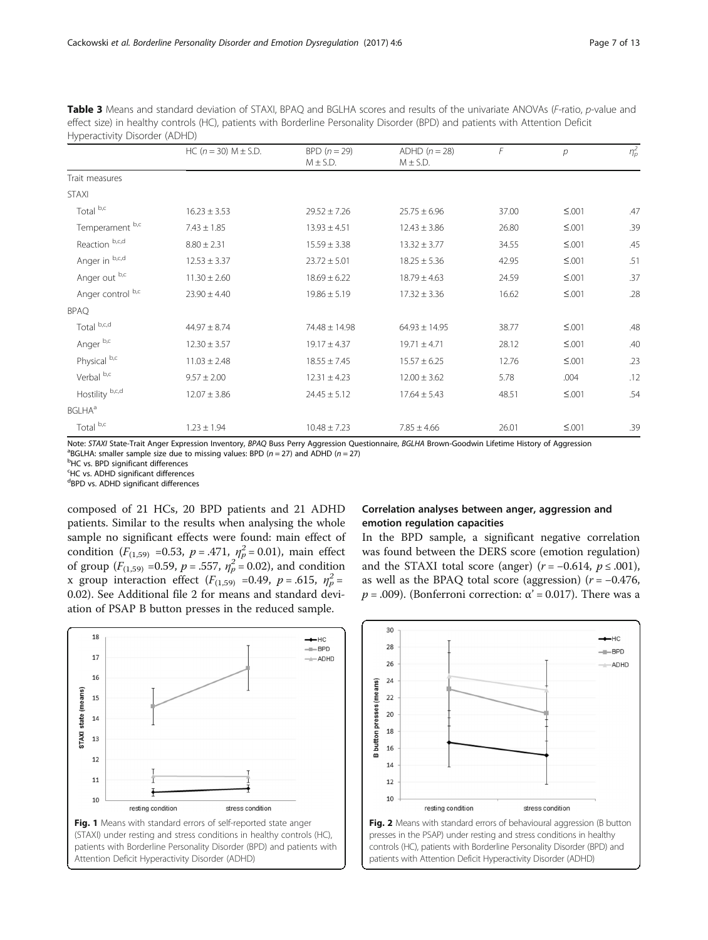<span id="page-6-0"></span>Table 3 Means and standard deviation of STAXI, BPAQ and BGLHA scores and results of the univariate ANOVAs (F-ratio, p-value and effect size) in healthy controls (HC), patients with Borderline Personality Disorder (BPD) and patients with Attention Deficit Hyperactivity Disorder (ADHD)

|                           | $HC (n = 30) M \pm S.D.$ | $BPD(n=29)$<br>$M \pm S.D.$ | $ADHD (n = 28)$<br>$M \pm S.D.$ | F     | р       | $\eta_p^2$ |
|---------------------------|--------------------------|-----------------------------|---------------------------------|-------|---------|------------|
| Trait measures            |                          |                             |                                 |       |         |            |
| <b>STAXI</b>              |                          |                             |                                 |       |         |            |
| Total $b,c$               | $16.23 \pm 3.53$         | $29.52 \pm 7.26$            | $25.75 \pm 6.96$                | 37.00 | $≤.001$ | .47        |
| Temperament b,c           | $7.43 \pm 1.85$          | $13.93 \pm 4.51$            | $12.43 \pm 3.86$                | 26.80 | $≤.001$ | .39        |
| Reaction b,c,d            | $8.80 \pm 2.31$          | $15.59 \pm 3.38$            | $13.32 \pm 3.77$                | 34.55 | $≤.001$ | .45        |
| Anger in b,c,d            | $12.53 \pm 3.37$         | $23.72 \pm 5.01$            | $18.25 \pm 5.36$                | 42.95 | $≤.001$ | .51        |
| Anger out b,c             | $11.30 \pm 2.60$         | $18.69 \pm 6.22$            | $18.79 \pm 4.63$                | 24.59 | $≤.001$ | .37        |
| Anger control b,c         | $23.90 \pm 4.40$         | $19.86 \pm 5.19$            | $17.32 \pm 3.36$                | 16.62 | $≤.001$ | .28        |
| <b>BPAQ</b>               |                          |                             |                                 |       |         |            |
| Total $b,c,d$             | $44.97 \pm 8.74$         | 74.48 ± 14.98               | $64.93 \pm 14.95$               | 38.77 | $≤.001$ | .48        |
| Anger b,c                 | $12.30 \pm 3.57$         | $19.17 \pm 4.37$            | $19.71 \pm 4.71$                | 28.12 | $≤.001$ | .40        |
| Physical b,c              | $11.03 \pm 2.48$         | $18.55 \pm 7.45$            | $15.57 \pm 6.25$                | 12.76 | $≤.001$ | .23        |
| Verbal b,c                | $9.57 \pm 2.00$          | $12.31 \pm 4.23$            | $12.00 \pm 3.62$                | 5.78  | .004    | .12        |
| Hostility b,c,d           | $12.07 \pm 3.86$         | $24.45 \pm 5.12$            | $17.64 \pm 5.43$                | 48.51 | $≤.001$ | .54        |
| <b>BGLHA</b> <sup>a</sup> |                          |                             |                                 |       |         |            |
| Total $b,c$               | $1.23 \pm 1.94$          | $10.48 \pm 7.23$            | $7.85 \pm 4.66$                 | 26.01 | $≤.001$ | .39        |

Note: STAXI State-Trait Anger Expression Inventory, BPAQ Buss Perry Aggression Questionnaire, BGLHA Brown-Goodwin Lifetime History of Aggression <sup>a</sup>BGLHA: smaller sample size due to missing values: BPD ( $n = 27$ ) and ADHD ( $n = 27$ )

<sup>b</sup>HC vs. BPD significant differences

<sup>c</sup>HC vs. ADHD significant differences

dBPD vs. ADHD significant differences

composed of 21 HCs, 20 BPD patients and 21 ADHD patients. Similar to the results when analysing the whole sample no significant effects were found: main effect of condition  $(F_{(1,59)} = 0.53, p = .471, \eta_p^2 = 0.01)$ , main effect of group  $(F_{(1,59)} = 0.59, p = .557, \eta_p^2 = 0.02)$ , and condition x group interaction effect  $(F_{(1,59)} = 0.49, p = .615, \eta_p^2 = 0.49$ 0.02). See Additional file [2](#page-9-0) for means and standard deviation of PSAP B button presses in the reduced sample.



In the BPD sample, a significant negative correlation was found between the DERS score (emotion regulation) and the STAXI total score (anger) ( $r = -0.614$ ,  $p \le 0.001$ ), as well as the BPAQ total score (aggression)  $(r = -0.476,$  $p = .009$ ). (Bonferroni correction:  $\alpha' = 0.017$ ). There was a





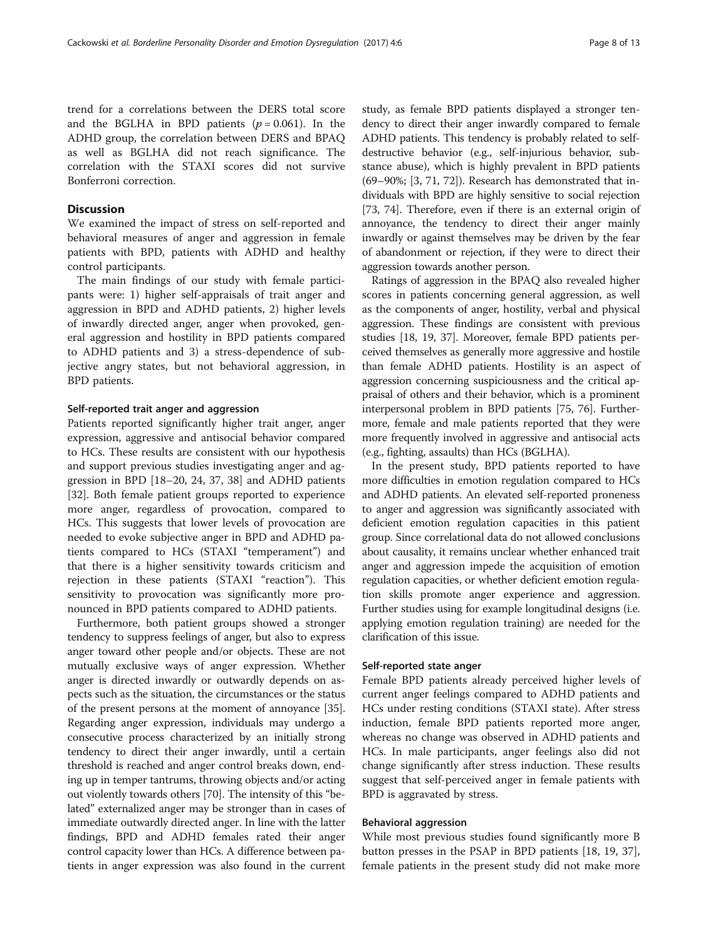trend for a correlations between the DERS total score and the BGLHA in BPD patients  $(p = 0.061)$ . In the ADHD group, the correlation between DERS and BPAQ as well as BGLHA did not reach significance. The correlation with the STAXI scores did not survive Bonferroni correction.

#### **Discussion**

We examined the impact of stress on self-reported and behavioral measures of anger and aggression in female patients with BPD, patients with ADHD and healthy control participants.

The main findings of our study with female participants were: 1) higher self-appraisals of trait anger and aggression in BPD and ADHD patients, 2) higher levels of inwardly directed anger, anger when provoked, general aggression and hostility in BPD patients compared to ADHD patients and 3) a stress-dependence of subjective angry states, but not behavioral aggression, in BPD patients.

#### Self-reported trait anger and aggression

Patients reported significantly higher trait anger, anger expression, aggressive and antisocial behavior compared to HCs. These results are consistent with our hypothesis and support previous studies investigating anger and aggression in BPD [[18](#page-10-0)–[20](#page-10-0), [24, 37, 38](#page-10-0)] and ADHD patients [[32\]](#page-10-0). Both female patient groups reported to experience more anger, regardless of provocation, compared to HCs. This suggests that lower levels of provocation are needed to evoke subjective anger in BPD and ADHD patients compared to HCs (STAXI "temperament") and that there is a higher sensitivity towards criticism and rejection in these patients (STAXI "reaction"). This sensitivity to provocation was significantly more pronounced in BPD patients compared to ADHD patients.

Furthermore, both patient groups showed a stronger tendency to suppress feelings of anger, but also to express anger toward other people and/or objects. These are not mutually exclusive ways of anger expression. Whether anger is directed inwardly or outwardly depends on aspects such as the situation, the circumstances or the status of the present persons at the moment of annoyance [[35](#page-10-0)]. Regarding anger expression, individuals may undergo a consecutive process characterized by an initially strong tendency to direct their anger inwardly, until a certain threshold is reached and anger control breaks down, ending up in temper tantrums, throwing objects and/or acting out violently towards others [\[70\]](#page-11-0). The intensity of this "belated" externalized anger may be stronger than in cases of immediate outwardly directed anger. In line with the latter findings, BPD and ADHD females rated their anger control capacity lower than HCs. A difference between patients in anger expression was also found in the current

study, as female BPD patients displayed a stronger tendency to direct their anger inwardly compared to female ADHD patients. This tendency is probably related to selfdestructive behavior (e.g., self-injurious behavior, substance abuse), which is highly prevalent in BPD patients (69–90%; [\[3,](#page-10-0) [71, 72\]](#page-11-0)). Research has demonstrated that individuals with BPD are highly sensitive to social rejection [[73](#page-11-0), [74](#page-11-0)]. Therefore, even if there is an external origin of annoyance, the tendency to direct their anger mainly inwardly or against themselves may be driven by the fear of abandonment or rejection, if they were to direct their aggression towards another person.

Ratings of aggression in the BPAQ also revealed higher scores in patients concerning general aggression, as well as the components of anger, hostility, verbal and physical aggression. These findings are consistent with previous studies [\[18](#page-10-0), [19, 37](#page-10-0)]. Moreover, female BPD patients perceived themselves as generally more aggressive and hostile than female ADHD patients. Hostility is an aspect of aggression concerning suspiciousness and the critical appraisal of others and their behavior, which is a prominent interpersonal problem in BPD patients [\[75, 76](#page-11-0)]. Furthermore, female and male patients reported that they were more frequently involved in aggressive and antisocial acts (e.g., fighting, assaults) than HCs (BGLHA).

In the present study, BPD patients reported to have more difficulties in emotion regulation compared to HCs and ADHD patients. An elevated self-reported proneness to anger and aggression was significantly associated with deficient emotion regulation capacities in this patient group. Since correlational data do not allowed conclusions about causality, it remains unclear whether enhanced trait anger and aggression impede the acquisition of emotion regulation capacities, or whether deficient emotion regulation skills promote anger experience and aggression. Further studies using for example longitudinal designs (i.e. applying emotion regulation training) are needed for the clarification of this issue.

#### Self-reported state anger

Female BPD patients already perceived higher levels of current anger feelings compared to ADHD patients and HCs under resting conditions (STAXI state). After stress induction, female BPD patients reported more anger, whereas no change was observed in ADHD patients and HCs. In male participants, anger feelings also did not change significantly after stress induction. These results suggest that self-perceived anger in female patients with BPD is aggravated by stress.

#### Behavioral aggression

While most previous studies found significantly more B button presses in the PSAP in BPD patients [[18, 19, 37](#page-10-0)], female patients in the present study did not make more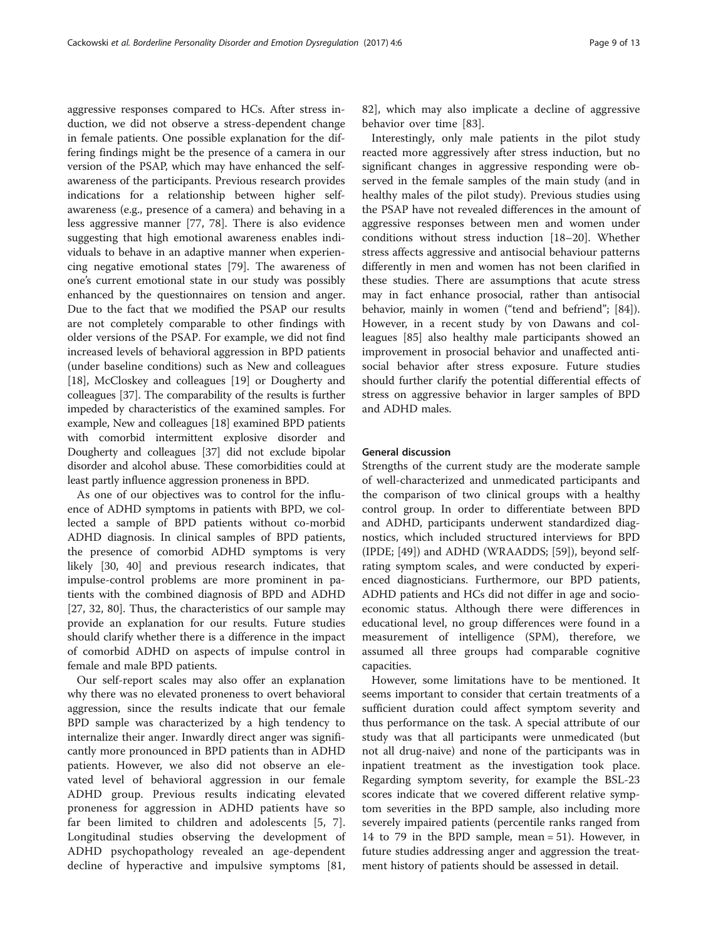aggressive responses compared to HCs. After stress induction, we did not observe a stress-dependent change in female patients. One possible explanation for the differing findings might be the presence of a camera in our version of the PSAP, which may have enhanced the selfawareness of the participants. Previous research provides indications for a relationship between higher selfawareness (e.g., presence of a camera) and behaving in a less aggressive manner [[77, 78\]](#page-11-0). There is also evidence suggesting that high emotional awareness enables individuals to behave in an adaptive manner when experiencing negative emotional states [[79\]](#page-11-0). The awareness of one's current emotional state in our study was possibly enhanced by the questionnaires on tension and anger. Due to the fact that we modified the PSAP our results are not completely comparable to other findings with older versions of the PSAP. For example, we did not find increased levels of behavioral aggression in BPD patients (under baseline conditions) such as New and colleagues [[18\]](#page-10-0), McCloskey and colleagues [\[19](#page-10-0)] or Dougherty and colleagues [[37](#page-10-0)]. The comparability of the results is further impeded by characteristics of the examined samples. For example, New and colleagues [[18](#page-10-0)] examined BPD patients with comorbid intermittent explosive disorder and Dougherty and colleagues [\[37\]](#page-10-0) did not exclude bipolar disorder and alcohol abuse. These comorbidities could at least partly influence aggression proneness in BPD.

As one of our objectives was to control for the influence of ADHD symptoms in patients with BPD, we collected a sample of BPD patients without co-morbid ADHD diagnosis. In clinical samples of BPD patients, the presence of comorbid ADHD symptoms is very likely [[30,](#page-10-0) [40](#page-11-0)] and previous research indicates, that impulse-control problems are more prominent in patients with the combined diagnosis of BPD and ADHD [[27, 32,](#page-10-0) [80](#page-11-0)]. Thus, the characteristics of our sample may provide an explanation for our results. Future studies should clarify whether there is a difference in the impact of comorbid ADHD on aspects of impulse control in female and male BPD patients.

Our self-report scales may also offer an explanation why there was no elevated proneness to overt behavioral aggression, since the results indicate that our female BPD sample was characterized by a high tendency to internalize their anger. Inwardly direct anger was significantly more pronounced in BPD patients than in ADHD patients. However, we also did not observe an elevated level of behavioral aggression in our female ADHD group. Previous results indicating elevated proneness for aggression in ADHD patients have so far been limited to children and adolescents [[5](#page-10-0), [7](#page-10-0)]. Longitudinal studies observing the development of ADHD psychopathology revealed an age-dependent decline of hyperactive and impulsive symptoms [\[81](#page-11-0),

[82\]](#page-11-0), which may also implicate a decline of aggressive behavior over time [\[83](#page-11-0)].

Interestingly, only male patients in the pilot study reacted more aggressively after stress induction, but no significant changes in aggressive responding were observed in the female samples of the main study (and in healthy males of the pilot study). Previous studies using the PSAP have not revealed differences in the amount of aggressive responses between men and women under conditions without stress induction [\[18](#page-10-0)–[20\]](#page-10-0). Whether stress affects aggressive and antisocial behaviour patterns differently in men and women has not been clarified in these studies. There are assumptions that acute stress may in fact enhance prosocial, rather than antisocial behavior, mainly in women ("tend and befriend"; [\[84](#page-11-0)]). However, in a recent study by von Dawans and colleagues [\[85](#page-11-0)] also healthy male participants showed an improvement in prosocial behavior and unaffected antisocial behavior after stress exposure. Future studies should further clarify the potential differential effects of stress on aggressive behavior in larger samples of BPD and ADHD males.

#### General discussion

Strengths of the current study are the moderate sample of well-characterized and unmedicated participants and the comparison of two clinical groups with a healthy control group. In order to differentiate between BPD and ADHD, participants underwent standardized diagnostics, which included structured interviews for BPD (IPDE; [[49](#page-11-0)]) and ADHD (WRAADDS; [\[59](#page-11-0)]), beyond selfrating symptom scales, and were conducted by experienced diagnosticians. Furthermore, our BPD patients, ADHD patients and HCs did not differ in age and socioeconomic status. Although there were differences in educational level, no group differences were found in a measurement of intelligence (SPM), therefore, we assumed all three groups had comparable cognitive capacities.

However, some limitations have to be mentioned. It seems important to consider that certain treatments of a sufficient duration could affect symptom severity and thus performance on the task. A special attribute of our study was that all participants were unmedicated (but not all drug-naive) and none of the participants was in inpatient treatment as the investigation took place. Regarding symptom severity, for example the BSL-23 scores indicate that we covered different relative symptom severities in the BPD sample, also including more severely impaired patients (percentile ranks ranged from 14 to 79 in the BPD sample, mean = 51). However, in future studies addressing anger and aggression the treatment history of patients should be assessed in detail.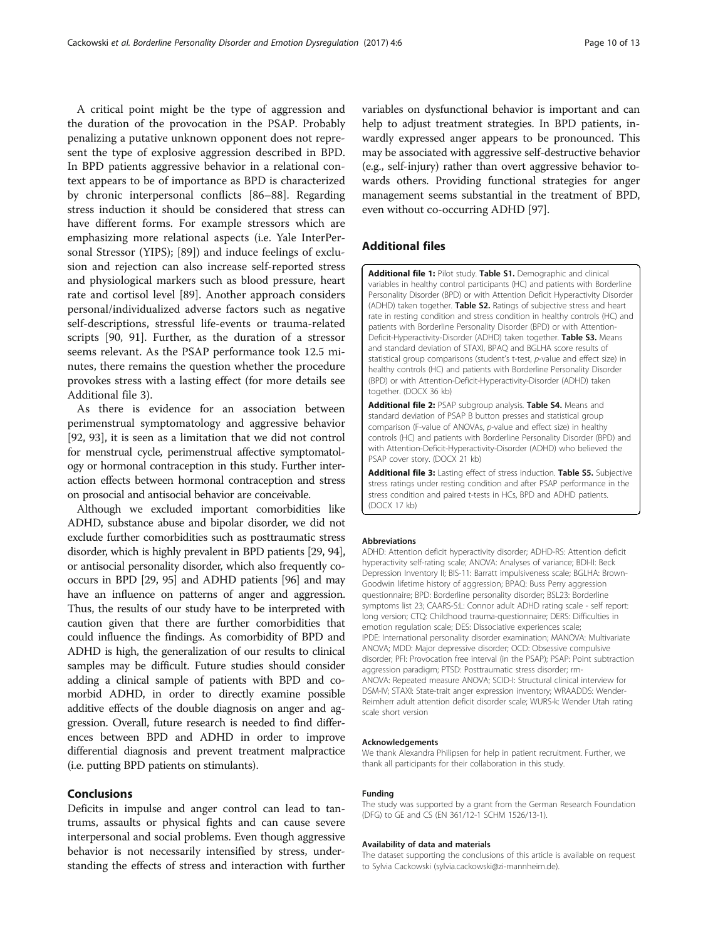<span id="page-9-0"></span>A critical point might be the type of aggression and the duration of the provocation in the PSAP. Probably penalizing a putative unknown opponent does not represent the type of explosive aggression described in BPD. In BPD patients aggressive behavior in a relational context appears to be of importance as BPD is characterized by chronic interpersonal conflicts [[86](#page-11-0)–[88](#page-12-0)]. Regarding stress induction it should be considered that stress can have different forms. For example stressors which are emphasizing more relational aspects (i.e. Yale InterPersonal Stressor (YIPS); [\[89](#page-12-0)]) and induce feelings of exclusion and rejection can also increase self-reported stress and physiological markers such as blood pressure, heart rate and cortisol level [\[89\]](#page-12-0). Another approach considers personal/individualized adverse factors such as negative self-descriptions, stressful life-events or trauma-related scripts [[90](#page-12-0), [91](#page-12-0)]. Further, as the duration of a stressor seems relevant. As the PSAP performance took 12.5 minutes, there remains the question whether the procedure provokes stress with a lasting effect (for more details see Additional file 3).

As there is evidence for an association between perimenstrual symptomatology and aggressive behavior [[92, 93\]](#page-12-0), it is seen as a limitation that we did not control for menstrual cycle, perimenstrual affective symptomatology or hormonal contraception in this study. Further interaction effects between hormonal contraception and stress on prosocial and antisocial behavior are conceivable.

Although we excluded important comorbidities like ADHD, substance abuse and bipolar disorder, we did not exclude further comorbidities such as posttraumatic stress disorder, which is highly prevalent in BPD patients [[29](#page-10-0), [94](#page-12-0)], or antisocial personality disorder, which also frequently cooccurs in BPD [[29](#page-10-0), [95](#page-12-0)] and ADHD patients [[96](#page-12-0)] and may have an influence on patterns of anger and aggression. Thus, the results of our study have to be interpreted with caution given that there are further comorbidities that could influence the findings. As comorbidity of BPD and ADHD is high, the generalization of our results to clinical samples may be difficult. Future studies should consider adding a clinical sample of patients with BPD and comorbid ADHD, in order to directly examine possible additive effects of the double diagnosis on anger and aggression. Overall, future research is needed to find differences between BPD and ADHD in order to improve differential diagnosis and prevent treatment malpractice (i.e. putting BPD patients on stimulants).

#### Conclusions

Deficits in impulse and anger control can lead to tantrums, assaults or physical fights and can cause severe interpersonal and social problems. Even though aggressive behavior is not necessarily intensified by stress, understanding the effects of stress and interaction with further

variables on dysfunctional behavior is important and can help to adjust treatment strategies. In BPD patients, inwardly expressed anger appears to be pronounced. This may be associated with aggressive self-destructive behavior (e.g., self-injury) rather than overt aggressive behavior towards others. Providing functional strategies for anger management seems substantial in the treatment of BPD, even without co-occurring ADHD [\[97](#page-12-0)].

#### Additional files

[Additional file 1:](dx.doi.org/10.1186/s40479-017-0057-5) Pilot study. Table S1. Demographic and clinical variables in healthy control participants (HC) and patients with Borderline Personality Disorder (BPD) or with Attention Deficit Hyperactivity Disorder (ADHD) taken together. Table S2. Ratings of subjective stress and heart rate in resting condition and stress condition in healthy controls (HC) and patients with Borderline Personality Disorder (BPD) or with Attention-Deficit-Hyperactivity-Disorder (ADHD) taken together. Table S3. Means and standard deviation of STAXI, BPAQ and BGLHA score results of statistical group comparisons (student's t-test, p-value and effect size) in healthy controls (HC) and patients with Borderline Personality Disorder (BPD) or with Attention-Deficit-Hyperactivity-Disorder (ADHD) taken together. (DOCX 36 kb)

[Additional file 2:](dx.doi.org/10.1186/s40479-017-0057-5) PSAP subgroup analysis. Table S4. Means and standard deviation of PSAP B button presses and statistical group comparison (F-value of ANOVAs, p-value and effect size) in healthy controls (HC) and patients with Borderline Personality Disorder (BPD) and with Attention-Deficit-Hyperactivity-Disorder (ADHD) who believed the PSAP cover story. (DOCX 21 kb)

[Additional file 3:](dx.doi.org/10.1186/s40479-017-0057-5) Lasting effect of stress induction. Table S5. Subjective stress ratings under resting condition and after PSAP performance in the stress condition and paired t-tests in HCs, BPD and ADHD patients. (DOCX 17 kb)

#### Abbreviations

ADHD: Attention deficit hyperactivity disorder; ADHD-RS: Attention deficit hyperactivity self-rating scale; ANOVA: Analyses of variance; BDI-II: Beck Depression Inventory II; BIS-11: Barratt impulsiveness scale; BGLHA: Brown-Goodwin lifetime history of aggression; BPAQ: Buss Perry aggression questionnaire; BPD: Borderline personality disorder; BSL23: Borderline symptoms list 23; CAARS-S:L: Connor adult ADHD rating scale - self report: long version; CTQ: Childhood trauma-questionnaire; DERS: Difficulties in emotion regulation scale; DES: Dissociative experiences scale; IPDE: International personality disorder examination; MANOVA: Multivariate ANOVA; MDD: Major depressive disorder; OCD: Obsessive compulsive disorder; PFI: Provocation free interval (in the PSAP); PSAP: Point subtraction aggression paradigm; PTSD: Posttraumatic stress disorder; rm-ANOVA: Repeated measure ANOVA; SCID-I: Structural clinical interview for DSM-IV; STAXI: State-trait anger expression inventory; WRAADDS: Wender-Reimherr adult attention deficit disorder scale; WURS-k: Wender Utah rating scale short version

#### Acknowledgements

We thank Alexandra Philipsen for help in patient recruitment. Further, we thank all participants for their collaboration in this study.

#### Funding

The study was supported by a grant from the German Research Foundation (DFG) to GE and CS (EN 361/12-1 SCHM 1526/13-1).

#### Availability of data and materials

The dataset supporting the conclusions of this article is available on request to Sylvia Cackowski (sylvia.cackowski@zi-mannheim.de).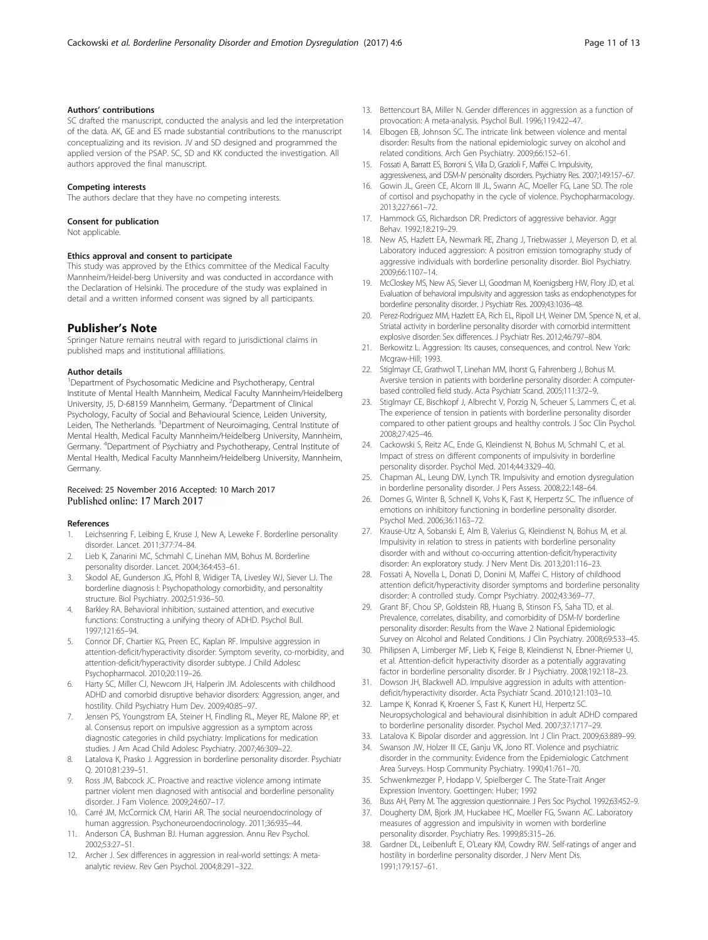#### <span id="page-10-0"></span>Authors' contributions

SC drafted the manuscript, conducted the analysis and led the interpretation of the data. AK, GE and ES made substantial contributions to the manuscript conceptualizing and its revision. JV and SD designed and programmed the applied version of the PSAP. SC, SD and KK conducted the investigation. All authors approved the final manuscript.

#### Competing interests

The authors declare that they have no competing interests.

#### Consent for publication

Not applicable.

#### Ethics approval and consent to participate

This study was approved by the Ethics committee of the Medical Faculty Mannheim/Heidel-berg University and was conducted in accordance with the Declaration of Helsinki. The procedure of the study was explained in detail and a written informed consent was signed by all participants.

#### Publisher's Note

Springer Nature remains neutral with regard to jurisdictional claims in published maps and institutional affiliations.

#### Author details

<sup>1</sup>Department of Psychosomatic Medicine and Psychotherapy, Central Institute of Mental Health Mannheim, Medical Faculty Mannheim/Heidelberg University, J5, D-68159 Mannheim, Germany. <sup>2</sup>Department of Clinical Psychology, Faculty of Social and Behavioural Science, Leiden University, Leiden, The Netherlands. <sup>3</sup>Department of Neuroimaging, Central Institute of Mental Health, Medical Faculty Mannheim/Heidelberg University, Mannheim, Germany. <sup>4</sup>Department of Psychiatry and Psychotherapy, Central Institute of Mental Health, Medical Faculty Mannheim/Heidelberg University, Mannheim, Germany.

#### Received: 25 November 2016 Accepted: 10 March 2017 Published online: 17 March 2017

#### References

- 1. Leichsenring F, Leibing E, Kruse J, New A, Leweke F. Borderline personality disorder. Lancet. 2011;377:74–84.
- 2. Lieb K, Zanarini MC, Schmahl C, Linehan MM, Bohus M. Borderline personality disorder. Lancet. 2004;364:453–61.
- 3. Skodol AE, Gunderson JG, Pfohl B, Widiger TA, Livesley WJ, Siever LJ. The borderline diagnosis I: Psychopathology comorbidity, and personaltity structure. Biol Psychiatry. 2002;51:936–50.
- 4. Barkley RA. Behavioral inhibition, sustained attention, and executive functions: Constructing a unifying theory of ADHD. Psychol Bull. 1997;121:65–94.
- 5. Connor DF, Chartier KG, Preen EC, Kaplan RF. Impulsive aggression in attention-deficit/hyperactivity disorder: Symptom severity, co-morbidity, and attention-deficit/hyperactivity disorder subtype. J Child Adolesc Psychopharmacol. 2010;20:119–26.
- 6. Harty SC, Miller CJ, Newcorn JH, Halperin JM. Adolescents with childhood ADHD and comorbid disruptive behavior disorders: Aggression, anger, and hostility. Child Psychiatry Hum Dev. 2009;40:85–97.
- 7. Jensen PS, Youngstrom EA, Steiner H, Findling RL, Meyer RE, Malone RP, et al. Consensus report on impulsive aggression as a symptom across diagnostic categories in child psychiatry: Implications for medication studies. J Am Acad Child Adolesc Psychiatry. 2007;46:309–22.
- Latalova K, Prasko J. Aggression in borderline personality disorder. Psychiatr Q. 2010;81:239–51.
- 9. Ross JM, Babcock JC. Proactive and reactive violence among intimate partner violent men diagnosed with antisocial and borderline personality disorder. J Fam Violence. 2009;24:607–17.
- 10. Carré JM, McCormick CM, Hariri AR. The social neuroendocrinology of human aggression. Psychoneuroendocrinology. 2011;36:935–44.
- 11. Anderson CA, Bushman BJ. Human aggression. Annu Rev Psychol. 2002;53:27–51.
- 12. Archer J. Sex differences in aggression in real-world settings: A metaanalytic review. Rev Gen Psychol. 2004;8:291–322.
- 13. Bettencourt BA, Miller N. Gender differences in aggression as a function of provocation: A meta-analysis. Psychol Bull. 1996;119:422–47.
- 14. Elbogen EB, Johnson SC. The intricate link between violence and mental disorder: Results from the national epidemiologic survey on alcohol and related conditions. Arch Gen Psychiatry. 2009;66:152–61.
- 15. Fossati A, Barratt ES, Borroni S, Villa D, Grazioli F, Maffei C. Impulsivity, aggressiveness, and DSM-IV personality disorders. Psychiatry Res. 2007;149:157–67.
- 16. Gowin JL, Green CE, Alcorn III JL, Swann AC, Moeller FG, Lane SD. The role of cortisol and psychopathy in the cycle of violence. Psychopharmacology. 2013;227:661–72.
- 17. Hammock GS, Richardson DR. Predictors of aggressive behavior. Aggr Behav. 1992;18:219–29.
- 18. New AS, Hazlett EA, Newmark RE, Zhang J, Triebwasser J, Meyerson D, et al. Laboratory induced aggression: A positron emission tomography study of aggressive individuals with borderline personality disorder. Biol Psychiatry. 2009;66:1107–14.
- 19. McCloskey MS, New AS, Siever LJ, Goodman M, Koenigsberg HW, Flory JD, et al. Evaluation of behavioral impulsivity and aggression tasks as endophenotypes for borderline personality disorder. J Psychiatr Res. 2009;43:1036–48.
- 20. Perez-Rodriguez MM, Hazlett EA, Rich EL, Ripoll LH, Weiner DM, Spence N, et al. Striatal activity in borderline personality disorder with comorbid intermittent explosive disorder: Sex differences. J Psychiatr Res. 2012;46:797–804.
- 21. Berkowitz L. Aggression: Its causes, consequences, and control. New York: Mcgraw-Hill; 1993.
- 22. Stiglmayr CE, Grathwol T, Linehan MM, Ihorst G, Fahrenberg J, Bohus M. Aversive tension in patients with borderline personality disorder: A computerbased controlled field study. Acta Psychiatr Scand. 2005;111:372–9.
- 23. Stiglmayr CE, Bischkopf J, Albrecht V, Porzig N, Scheuer S, Lammers C, et al. The experience of tension in patients with borderline personality disorder compared to other patient groups and healthy controls. J Soc Clin Psychol. 2008;27:425–46.
- 24. Cackowski S, Reitz AC, Ende G, Kleindienst N, Bohus M, Schmahl C, et al. Impact of stress on different components of impulsivity in borderline personality disorder. Psychol Med. 2014;44:3329–40.
- 25. Chapman AL, Leung DW, Lynch TR. Impulsivity and emotion dysregulation in borderline personality disorder. J Pers Assess. 2008;22:148–64.
- 26. Domes G, Winter B, Schnell K, Vohs K, Fast K, Herpertz SC. The influence of emotions on inhibitory functioning in borderline personality disorder. Psychol Med. 2006;36:1163–72.
- 27. Krause-Utz A, Sobanski E, Alm B, Valerius G, Kleindienst N, Bohus M, et al. Impulsivity in relation to stress in patients with borderline personality disorder with and without co-occurring attention-deficit/hyperactivity disorder: An exploratory study. J Nerv Ment Dis. 2013;201:116–23.
- 28. Fossati A, Novella L, Donati D, Donini M, Maffei C. History of childhood attention deficit/hyperactivity disorder symptoms and borderline personality disorder: A controlled study. Compr Psychiatry. 2002;43:369–77.
- 29. Grant BF, Chou SP, Goldstein RB, Huang B, Stinson FS, Saha TD, et al. Prevalence, correlates, disability, and comorbidity of DSM-IV borderline personality disorder: Results from the Wave 2 National Epidemiologic Survey on Alcohol and Related Conditions. J Clin Psychiatry. 2008;69:533–45.
- 30. Philipsen A, Limberger MF, Lieb K, Feige B, Kleindienst N, Ebner-Priemer U, et al. Attention-deficit hyperactivity disorder as a potentially aggravating factor in borderline personality disorder. Br J Psychiatry. 2008;192:118–23.
- 31. Dowson JH, Blackwell AD. Impulsive aggression in adults with attentiondeficit/hyperactivity disorder. Acta Psychiatr Scand. 2010;121:103–10.
- 32. Lampe K, Konrad K, Kroener S, Fast K, Kunert HJ, Herpertz SC. Neuropsychological and behavioural disinhibition in adult ADHD compared to borderline personality disorder. Psychol Med. 2007;37:1717–29.
- 33. Latalova K. Bipolar disorder and aggression. Int J Clin Pract. 2009;63:889–99. 34. Swanson JW, Holzer III CE, Ganju VK, Jono RT. Violence and psychiatric
- disorder in the community: Evidence from the Epidemiologic Catchment Area Surveys. Hosp Community Psychiatry. 1990;41:761–70.
- 35. Schwenkmezger P, Hodapp V, Spielberger C. The State-Trait Anger Expression Inventory. Goettingen: Huber; 1992
- 36. Buss AH, Perry M. The aggression questionnaire. J Pers Soc Psychol. 1992;63:452–9.
- 37. Dougherty DM, Bjork JM, Huckabee HC, Moeller FG, Swann AC. Laboratory measures of aggression and impulsivity in women with borderline personality disorder. Psychiatry Res. 1999;85:315–26.
- 38. Gardner DL, Leibenluft E, O'Leary KM, Cowdry RW. Self-ratings of anger and hostility in borderline personality disorder. J Nerv Ment Dis. 1991;179:157–61.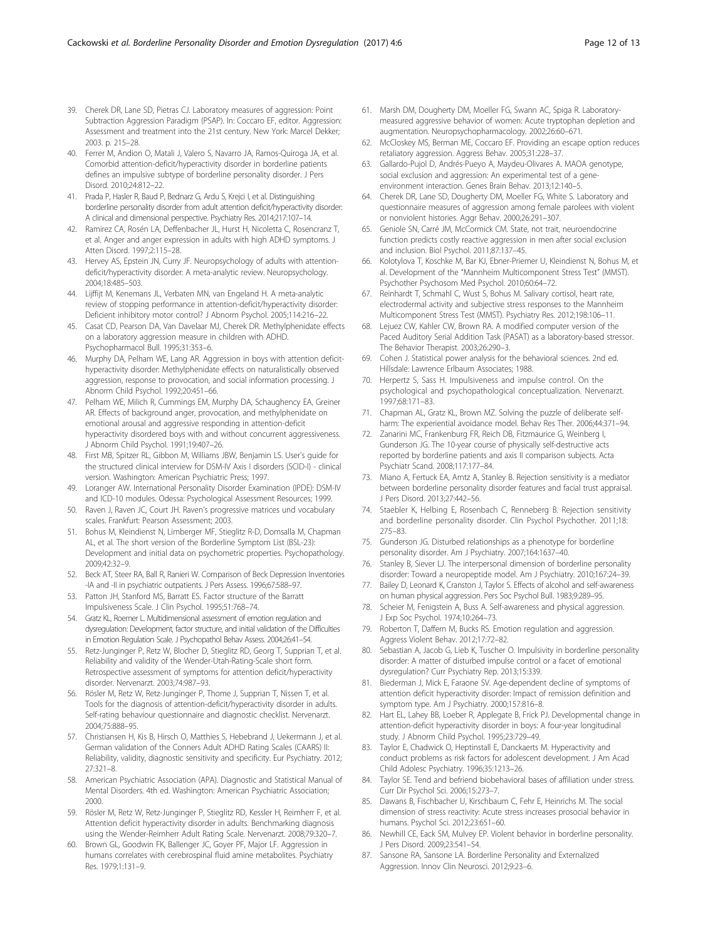- <span id="page-11-0"></span>39. Cherek DR, Lane SD, Pietras CJ. Laboratory measures of aggression: Point Subtraction Aggression Paradigm (PSAP). In: Coccaro EF, editor. Aggression: Assessment and treatment into the 21st century. New York: Marcel Dekker; 2003. p. 215–28.
- 40. Ferrer M, Andion O, Matali J, Valero S, Navarro JA, Ramos-Quiroga JA, et al. Comorbid attention-deficit/hyperactivity disorder in borderline patients defines an impulsive subtype of borderline personality disorder. J Pers Disord. 2010;24:812–22.
- 41. Prada P, Hasler R, Baud P, Bednarz G, Ardu S, Krejci I, et al. Distinguishing borderline personality disorder from adult attention deficit/hyperactivity disorder: A clinical and dimensional perspective. Psychiatry Res. 2014;217:107–14.
- 42. Ramirez CA, Rosén LA, Deffenbacher JL, Hurst H, Nicoletta C, Rosencranz T, et al. Anger and anger expression in adults with high ADHD symptoms. J Atten Disord. 1997;2:115–28.
- 43. Hervey AS, Epstein JN, Curry JF. Neuropsychology of adults with attentiondeficit/hyperactivity disorder: A meta-analytic review. Neuropsychology. 2004;18:485–503.
- 44. Lijffijt M, Kenemans JL, Verbaten MN, van Engeland H. A meta-analytic review of stopping performance in attention-deficit/hyperactivity disorder: Deficient inhibitory motor control? J Abnorm Psychol. 2005;114:216–22.
- 45. Casat CD, Pearson DA, Van Davelaar MJ, Cherek DR. Methylphenidate effects on a laboratory aggression measure in children with ADHD. Psychopharmacol Bull. 1995;31:353–6.
- 46. Murphy DA, Pelham WE, Lang AR. Aggression in boys with attention deficithyperactivity disorder: Methylphenidate effects on naturalistically observed aggression, response to provocation, and social information processing. J Abnorm Child Psychol. 1992;20:451–66.
- 47. Pelham WE, Milich R, Cummings EM, Murphy DA, Schaughency EA, Greiner AR. Effects of background anger, provocation, and methylphenidate on emotional arousal and aggressive responding in attention-deficit hyperactivity disordered boys with and without concurrent aggressiveness. J Abnorm Child Psychol. 1991;19:407–26.
- 48. First MB, Spitzer RL, Gibbon M, Williams JBW, Benjamin LS. User's guide for the structured clinical interview for DSM-IV Axis I disorders (SCID-I) - clinical version. Washington: American Psychiatric Press; 1997.
- 49. Loranger AW. International Personality Disorder Examination (IPDE): DSM-IV and ICD-10 modules. Odessa: Psychological Assessment Resources; 1999.
- 50. Raven J, Raven JC, Court JH. Raven's progressive matrices und vocabulary scales. Frankfurt: Pearson Assessment; 2003.
- 51. Bohus M, Kleindienst N, Limberger MF, Stieglitz R-D, Domsalla M, Chapman AL, et al. The short version of the Borderline Symptom List (BSL-23): Development and initial data on psychometric properties. Psychopathology. 2009;42:32–9.
- 52. Beck AT, Steer RA, Ball R, Ranieri W. Comparison of Beck Depression Inventories -IA and -II in psychiatric outpatients. J Pers Assess. 1996;67:588-97.
- 53. Patton JH, Stanford MS, Barratt ES. Factor structure of the Barratt Impulsiveness Scale. J Clin Psychol. 1995;51:768–74.
- 54. Gratz KL, Roemer L. Multidimensional assessment of emotion regulation and dysregulation: Development, factor structure, and initial validation of the Difficulties in Emotion Regulation Scale. J Psychopathol Behav Assess. 2004;26:41–54.
- 55. Retz-Junginger P, Retz W, Blocher D, Stieglitz RD, Georg T, Supprian T, et al. Reliability and validity of the Wender-Utah-Rating-Scale short form. Retrospective assessment of symptoms for attention deficit/hyperactivity disorder. Nervenarzt. 2003;74:987–93.
- 56. Rösler M, Retz W, Retz-Junginger P, Thome J, Supprian T, Nissen T, et al. Tools for the diagnosis of attention-deficit/hyperactivity disorder in adults. Self-rating behaviour questionnaire and diagnostic checklist. Nervenarzt. 2004;75:888–95.
- 57. Christiansen H, Kis B, Hirsch O, Matthies S, Hebebrand J, Uekermann J, et al. German validation of the Conners Adult ADHD Rating Scales (CAARS) II: Reliability, validity, diagnostic sensitivity and specificity. Eur Psychiatry. 2012; 27:321–8.
- 58. American Psychiatric Association (APA). Diagnostic and Statistical Manual of Mental Disorders. 4th ed. Washington: American Psychiatric Association; 2000.
- 59. Rösler M, Retz W, Retz-Junginger P, Stieglitz RD, Kessler H, Reimherr F, et al. Attention deficit hyperactivity disorder in adults. Benchmarking diagnosis using the Wender-Reimherr Adult Rating Scale. Nervenarzt. 2008;79:320–7.
- 60. Brown GL, Goodwin FK, Ballenger JC, Goyer PF, Major LF. Aggression in humans correlates with cerebrospinal fluid amine metabolites. Psychiatry Res. 1979;1:131–9.
- 61. Marsh DM, Dougherty DM, Moeller FG, Swann AC, Spiga R. Laboratorymeasured aggressive behavior of women: Acute tryptophan depletion and augmentation. Neuropsychopharmacology. 2002;26:60–671.
- 62. McCloskey MS, Berman ME, Coccaro EF. Providing an escape option reduces retaliatory aggression. Aggress Behav. 2005;31:228–37.
- 63. Gallardo-Pujol D, Andrés-Pueyo A, Maydeu-Olivares A. MAOA genotype, social exclusion and aggression: An experimental test of a geneenvironment interaction. Genes Brain Behav. 2013;12:140–5.
- 64. Cherek DR, Lane SD, Dougherty DM, Moeller FG, White S. Laboratory and questionnaire measures of aggression among female parolees with violent or nonviolent histories. Aggr Behav. 2000;26:291–307.
- 65. Geniole SN, Carré JM, McCormick CM. State, not trait, neuroendocrine function predicts costly reactive aggression in men after social exclusion and inclusion. Biol Psychol. 2011;87:137–45.
- 66. Kolotylova T, Koschke M, Bar KJ, Ebner-Priemer U, Kleindienst N, Bohus M, et al. Development of the "Mannheim Multicomponent Stress Test" (MMST). Psychother Psychosom Med Psychol. 2010;60:64–72.
- 67. Reinhardt T, Schmahl C, Wust S, Bohus M. Salivary cortisol, heart rate, electrodermal activity and subjective stress responses to the Mannheim Multicomponent Stress Test (MMST). Psychiatry Res. 2012;198:106–11.
- 68. Lejuez CW, Kahler CW, Brown RA. A modified computer version of the Paced Auditory Serial Addition Task (PASAT) as a laboratory-based stressor. The Behavior Therapist. 2003;26:290–3.
- 69. Cohen J. Statistical power analysis for the behavioral sciences. 2nd ed. Hillsdale: Lawrence Erlbaum Associates; 1988.
- 70. Herpertz S, Sass H. Impulsiveness and impulse control. On the psychological and psychopathological conceptualization. Nervenarzt. 1997;68:171–83.
- 71. Chapman AL, Gratz KL, Brown MZ. Solving the puzzle of deliberate selfharm: The experiential avoidance model. Behav Res Ther. 2006;44:371–94.
- 72. Zanarini MC, Frankenburg FR, Reich DB, Fitzmaurice G, Weinberg I, Gunderson JG. The 10-year course of physically self-destructive acts reported by borderline patients and axis II comparison subjects. Acta Psychiatr Scand. 2008;117:177–84.
- 73. Miano A, Fertuck EA, Arntz A, Stanley B. Rejection sensitivity is a mediator between borderline personality disorder features and facial trust appraisal. J Pers Disord. 2013;27:442–56.
- 74. Staebler K, Helbing E, Rosenbach C, Renneberg B. Rejection sensitivity and borderline personality disorder. Clin Psychol Psychother. 2011;18: 275–83.
- 75. Gunderson JG. Disturbed relationships as a phenotype for borderline personality disorder. Am J Psychiatry. 2007;164:1637–40.
- 76. Stanley B, Siever LJ. The interpersonal dimension of borderline personality disorder: Toward a neuropeptide model. Am J Psychiatry. 2010;167:24–39.
- 77. Bailey D, Leonard K, Cranston J, Taylor S. Effects of alcohol and self-awareness on human physical aggression. Pers Soc Psychol Bull. 1983;9:289–95.
- 78. Scheier M, Fenigstein A, Buss A. Self-awareness and physical aggression. J Exp Soc Psychol. 1974;10:264–73.
- 79. Roberton T, Daffern M, Bucks RS. Emotion regulation and aggression. Aggress Violent Behav. 2012;17:72–82.
- 80. Sebastian A, Jacob G, Lieb K, Tuscher O. Impulsivity in borderline personality disorder: A matter of disturbed impulse control or a facet of emotional dysregulation? Curr Psychiatry Rep. 2013;15:339.
- 81. Biederman J, Mick E, Faraone SV. Age-dependent decline of symptoms of attention deficit hyperactivity disorder: Impact of remission definition and symptom type. Am J Psychiatry. 2000;157:816–8.
- 82. Hart EL, Lahey BB, Loeber R, Applegate B, Frick PJ. Developmental change in attention-deficit hyperactivity disorder in boys: A four-year longitudinal study. J Abnorm Child Psychol. 1995;23:729–49.
- 83. Taylor E, Chadwick O, Heptinstall E, Danckaerts M. Hyperactivity and conduct problems as risk factors for adolescent development. J Am Acad Child Adolesc Psychiatry. 1996;35:1213–26.
- 84. Taylor SE. Tend and befriend biobehavioral bases of affiliation under stress. Curr Dir Psychol Sci. 2006;15:273–7.
- 85. Dawans B, Fischbacher U, Kirschbaum C, Fehr E, Heinrichs M. The social dimension of stress reactivity: Acute stress increases prosocial behavior in humans. Psychol Sci. 2012;23:651–60.
- 86. Newhill CE, Eack SM, Mulvey EP. Violent behavior in borderline personality. J Pers Disord. 2009;23:541–54.
- 87. Sansone RA, Sansone LA. Borderline Personality and Externalized Aggression. Innov Clin Neurosci. 2012;9:23–6.